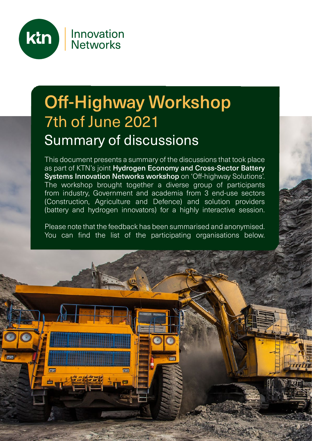

# Off-Highway Workshop 7th of June 2021 Summary of discussions

This document presents a summary of the discussions that took place as part of KTN's joint Hydrogen Economy and Cross-Sector Battery Systems Innovation Networks workshop on 'Off-highway Solutions'. The workshop brought together a diverse group of participants from industry, Government and academia from 3 end-use sectors (Construction, Agriculture and Defence) and solution providers (battery and hydrogen innovators) for a highly interactive session.

Please note that the feedback has been summarised and anonymised. You can find the list of the participating organisations below.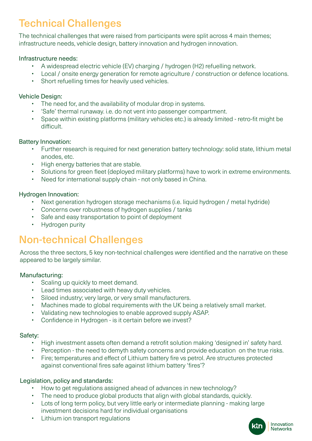# Technical Challenges

The technical challenges that were raised from participants were split across 4 main themes; infrastructure needs, vehicle design, battery innovation and hydrogen innovation.

### Infrastructure needs:

- A widespread electric vehicle (EV) charging / hydrogen (H2) refuelling network.
- Local / onsite energy generation for remote agriculture / construction or defence locations.
- Short refuelling times for heavily used vehicles.

### Vehicle Design:

- The need for, and the availability of modular drop in systems.
- 'Safe' thermal runaway. i.e. do not vent into passenger compartment.
- Space within existing platforms (military vehicles etc.) is already limited retro-fit might be difficult.

### Battery Innovation:

- Further research is required for next generation battery technology: solid state, lithium metal anodes, etc.
- High energy batteries that are stable.
- Solutions for green fleet (deployed military platforms) have to work in extreme environments.
- Need for international supply chain not only based in China.

### Hydrogen Innovation:

- Next generation hydrogen storage mechanisms (i.e. liquid hydrogen / metal hydride)
- Concerns over robustness of hydrogen supplies / tanks
- Safe and easy transportation to point of deployment
- Hydrogen purity

## Non-technical Challenges

Across the three sectors, 5 key non-technical challenges were identified and the narrative on these appeared to be largely similar.

### Manufacturing:

- Scaling up quickly to meet demand.
- Lead times associated with heavy duty vehicles.
- Siloed industry; very large, or very small manufacturers.
- Machines made to global requirements with the UK being a relatively small market.
- Validating new technologies to enable approved supply ASAP.
- Confidence in Hydrogen is it certain before we invest?

### Safety:

- High investment assets often demand a retrofit solution making 'designed in' safety hard.
- Perception the need to demyth safety concerns and provide education on the true risks.
- Fire; temperatures and effect of Lithium battery fire vs petrol. Are structures protected against conventional fires safe against lithium battery 'fires'?

### Legislation, policy and standards:

- How to get regulations assigned ahead of advances in new technology?
- The need to produce global products that align with global standards, quickly.
- Lots of long term policy, but very little early or intermediate planning making large investment decisions hard for individual organisations
- Lithium ion transport regulations

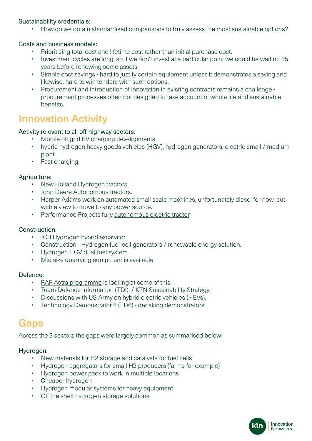### Sustainability credentials:

• How do we obtain standardised comparisons to truly assess the most sustainable options?

### Costs and business models:

- Prioritising total cost and lifetime cost rather than initial purchase cost.
- Investment cycles are long, so if we don't invest at a particular point we could be waiting 15 years before renewing some assets.
- Simple cost savings hard to justify certain equipment unless it demonstrates a saving and likewise, hard to win tenders with such options.
- Procurement and introduction of innovation in existing contracts remains a challenge procurement processes often not designed to take account of whole life and sustainable benefits.

### Innovation Activity

### Activity relevant to all off-highway sectors:

- Mobile off grid EV charging developments.
- hybrid hydrogen heavy goods vehicles (HGV), hydrogen generators, electric small / medium plant.
- Fast charging.

### Agriculture:

- [New Holland Hydrogen tractors.](https://h2dualpower.com/en)
- [John Deere Autonomous tractors.](https://h2dualpower.com/en)
- [Harper Adams](https://www.handsfree.farm/) work on automated small scale machines, unfortunately diesel for now, but with a view to move to any power source.
- Performance Projects fully [autonomous electric tractor](https://performance-projects.com/case_studies/fully-autonomous-electric-tractor/).

### Construction:

- [JCB Hydrogen hybrid excavator](https://www.jcb.com/en-gb/news/2020/07/jcb-leads-the-way-with-first-hydrogen-fuelled-excavator).
- Construction Hydrogen fuel-cell generators / renewable energy solution.
- Hydrogen HGV dual fuel system.
- Mid size quarrying equipment is available.

### Defence:

- [RAF Astra programme](https://www.raf.mod.uk/news/articles/strategic-support-programme-set-to-revolutionise-military-hr-services/) is looking at some of this.
- Team Defence Information (TDI) / KTN Sustainability Strategy.
- Discussions with US Army on hybrid electric vehicles (HEVs).
- [Technology Demonstrator 6 \(TD6\)](https://www.gov.uk/government/news/armoured-vehicles-to-test-electric-technology)  derisking demonstrators.

### **Gaps**

Across the 3 sectors the gaps were largely common as summarised below:

### Hydrogen:

- New materials for H2 storage and catalysts for fuel cells
- Hydrogen aggregators for small H2 producers (farms for example)
- Hydrogen power pack to work in multiple locations
- Cheaper hydrogen
- Hydrogen modular systems for heavy equipment
- Off the shelf hydrogen storage solutions